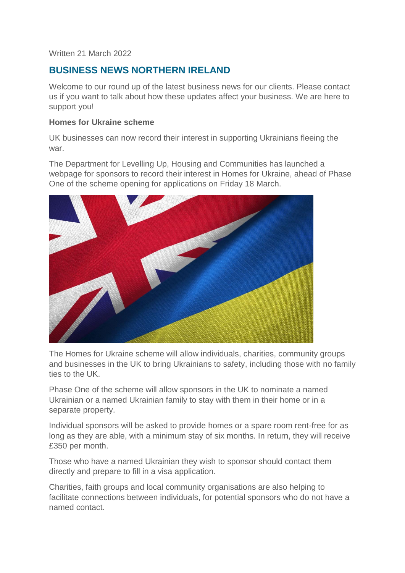#### Written 21 March 2022

# **BUSINESS NEWS NORTHERN IRELAND**

Welcome to our round up of the latest business news for our clients. Please contact us if you want to talk about how these updates affect your business. We are here to support you!

#### **Homes for Ukraine scheme**

UK businesses can now record their interest in supporting Ukrainians fleeing the war.

The Department for Levelling Up, Housing and Communities has launched a webpage for sponsors to record their interest in Homes for Ukraine, ahead of Phase One of the scheme opening for applications on Friday 18 March.



The Homes for Ukraine scheme will allow individuals, charities, community groups and businesses in the UK to bring Ukrainians to safety, including those with no family ties to the UK.

Phase One of the scheme will allow sponsors in the UK to nominate a named Ukrainian or a named Ukrainian family to stay with them in their home or in a separate property.

Individual sponsors will be asked to provide homes or a spare room rent-free for as long as they are able, with a minimum stay of six months. In return, they will receive £350 per month.

Those who have a named Ukrainian they wish to sponsor should contact them directly and prepare to fill in a visa application.

Charities, faith groups and local community organisations are also helping to facilitate connections between individuals, for potential sponsors who do not have a named contact.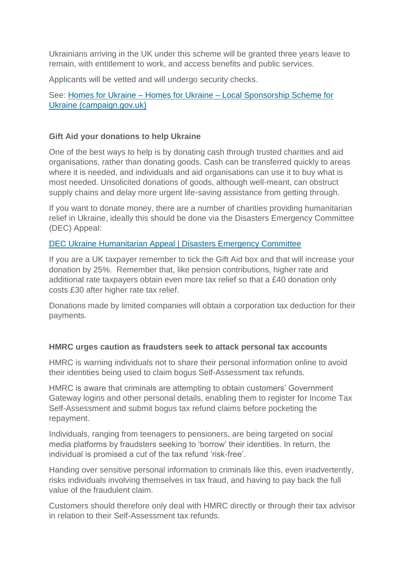Ukrainians arriving in the UK under this scheme will be granted three years leave to remain, with entitlement to work, and access benefits and public services.

Applicants will be vetted and will undergo security checks.

See: Homes for Ukraine – Homes for Ukraine – [Local Sponsorship Scheme for](https://homesforukraine.campaign.gov.uk/)  [Ukraine \(campaign.gov.uk\)](https://homesforukraine.campaign.gov.uk/)

### **Gift Aid your donations to help Ukraine**

One of the best ways to help is by donating cash through trusted charities and aid organisations, rather than donating goods. Cash can be transferred quickly to areas where it is needed, and individuals and aid organisations can use it to buy what is most needed. Unsolicited donations of goods, although well-meant, can obstruct supply chains and delay more urgent life-saving assistance from getting through.

If you want to donate money, there are a number of charities providing humanitarian relief in Ukraine, ideally this should be done via the Disasters Emergency Committee (DEC) Appeal:

### [DEC Ukraine Humanitarian Appeal | Disasters Emergency Committee](https://donation.dec.org.uk/ukraine-humanitarian-appeal)

If you are a UK taxpayer remember to tick the Gift Aid box and that will increase your donation by 25%. Remember that, like pension contributions, higher rate and additional rate taxpayers obtain even more tax relief so that a £40 donation only costs £30 after higher rate tax relief.

Donations made by limited companies will obtain a corporation tax deduction for their payments.

#### **HMRC urges caution as fraudsters seek to attack personal tax accounts**

HMRC is warning individuals not to share their personal information online to avoid their identities being used to claim bogus Self-Assessment tax refunds.

HMRC is aware that criminals are attempting to obtain customers' Government Gateway logins and other personal details, enabling them to register for Income Tax Self-Assessment and submit bogus tax refund claims before pocketing the repayment.

Individuals, ranging from teenagers to pensioners, are being targeted on social media platforms by fraudsters seeking to 'borrow' their identities. In return, the individual is promised a cut of the tax refund 'risk-free'.

Handing over sensitive personal information to criminals like this, even inadvertently, risks individuals involving themselves in tax fraud, and having to pay back the full value of the fraudulent claim.

Customers should therefore only deal with HMRC directly or through their tax advisor in relation to their Self-Assessment tax refunds.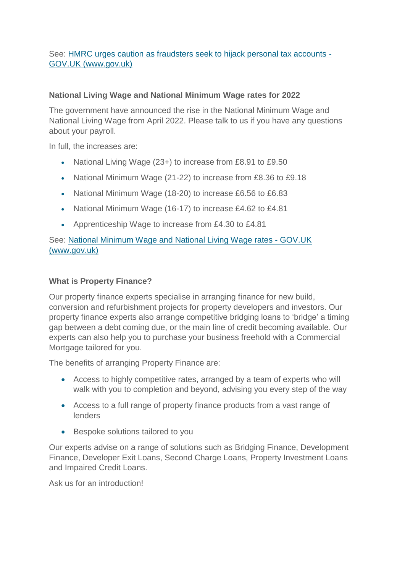## See: [HMRC urges caution as fraudsters seek to hijack personal tax accounts -](https://www.gov.uk/government/news/hmrc-urges-caution-as-fraudsters-seek-to-hijack-personal-tax-accounts) [GOV.UK \(www.gov.uk\)](https://www.gov.uk/government/news/hmrc-urges-caution-as-fraudsters-seek-to-hijack-personal-tax-accounts)

### **National Living Wage and National Minimum Wage rates for 2022**

The government have announced the rise in the National Minimum Wage and National Living Wage from April 2022. Please talk to us if you have any questions about your payroll.

In full, the increases are:

- National Living Wage (23+) to increase from £8.91 to £9.50
- National Minimum Wage (21-22) to increase from £8.36 to £9.18
- National Minimum Wage (18-20) to increase £6.56 to £6.83
- National Minimum Wage (16-17) to increase £4.62 to £4.81
- Apprenticeship Wage to increase from £4.30 to £4.81

See: [National Minimum Wage and National Living Wage rates -](https://www.gov.uk/national-minimum-wage-rates) GOV.UK [\(www.gov.uk\)](https://www.gov.uk/national-minimum-wage-rates)

### **What is Property Finance?**

Our property finance experts specialise in arranging finance for new build, conversion and refurbishment projects for property developers and investors. Our property finance experts also arrange competitive bridging loans to 'bridge' a timing gap between a debt coming due, or the main line of credit becoming available. Our experts can also help you to purchase your business freehold with a Commercial Mortgage tailored for you.

The benefits of arranging Property Finance are:

- Access to highly competitive rates, arranged by a team of experts who will walk with you to completion and beyond, advising you every step of the way
- Access to a full range of property finance products from a vast range of lenders
- Bespoke solutions tailored to you

Our experts advise on a range of solutions such as Bridging Finance, Development Finance, Developer Exit Loans, Second Charge Loans, Property Investment Loans and Impaired Credit Loans.

Ask us for an introduction!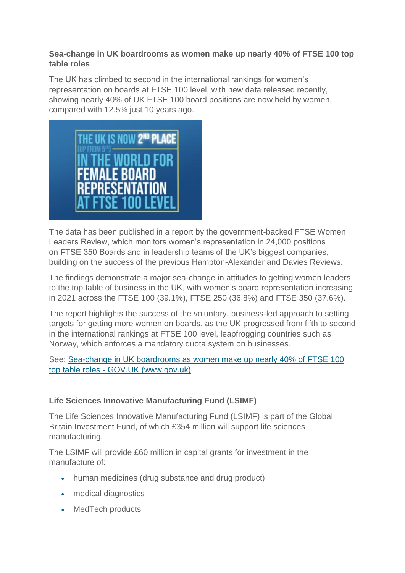### **Sea-change in UK boardrooms as women make up nearly 40% of FTSE 100 top table roles**

The UK has climbed to second in the international rankings for women's representation on boards at FTSE 100 level, with new data released recently, showing nearly 40% of UK FTSE 100 board positions are now held by women, compared with 12.5% just 10 years ago.



The data has been published in a report by the government-backed FTSE Women Leaders Review, which monitors women's representation in 24,000 positions on FTSE 350 Boards and in leadership teams of the UK's biggest companies, building on the success of the previous Hampton-Alexander and Davies Reviews.

The findings demonstrate a major sea-change in attitudes to getting women leaders to the top table of business in the UK, with women's board representation increasing in 2021 across the FTSE 100 (39.1%), FTSE 250 (36.8%) and FTSE 350 (37.6%).

The report highlights the success of the voluntary, business-led approach to setting targets for getting more women on boards, as the UK progressed from fifth to second in the international rankings at FTSE 100 level, leapfrogging countries such as Norway, which enforces a mandatory quota system on businesses.

## See: [Sea-change in UK boardrooms as women make up nearly 40% of FTSE 100](https://www.gov.uk/government/news/sea-change-in-uk-boardrooms-as-women-make-up-nearly-40-of-ftse-100-top-table-roles)  top table roles - [GOV.UK \(www.gov.uk\)](https://www.gov.uk/government/news/sea-change-in-uk-boardrooms-as-women-make-up-nearly-40-of-ftse-100-top-table-roles)

## **Life Sciences Innovative Manufacturing Fund (LSIMF)**

The Life Sciences Innovative Manufacturing Fund (LSIMF) is part of the Global Britain Investment Fund, of which £354 million will support life sciences manufacturing.

The LSIMF will provide £60 million in capital grants for investment in the manufacture of:

- human medicines (drug substance and drug product)
- medical diagnostics
- MedTech products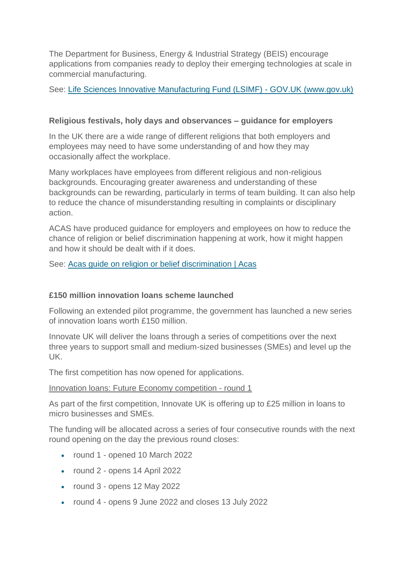The Department for Business, Energy & Industrial Strategy (BEIS) encourage applications from companies ready to deploy their emerging technologies at scale in commercial manufacturing.

See: [Life Sciences Innovative Manufacturing Fund \(LSIMF\) -](https://www.gov.uk/government/publications/life-sciences-innovative-manufacturing-fund-lsimf) GOV.UK (www.gov.uk)

## **Religious festivals, holy days and observances – guidance for employers**

In the UK there are a wide range of different religions that both employers and employees may need to have some understanding of and how they may occasionally affect the workplace.

Many workplaces have employees from different religious and non-religious backgrounds. Encouraging greater awareness and understanding of these backgrounds can be rewarding, particularly in terms of team building. It can also help to reduce the chance of misunderstanding resulting in complaints or disciplinary action.

ACAS have produced guidance for employers and employees on how to reduce the chance of religion or belief discrimination happening at work, how it might happen and how it should be dealt with if it does.

See: [Acas guide on religion or belief discrimination | Acas](https://www.acas.org.uk/acas-guide-to-religion-or-belief-discrimination)

## **£150 million innovation loans scheme launched**

Following an extended pilot programme, the government has launched a new series of innovation loans worth £150 million.

Innovate UK will deliver the loans through a series of competitions over the next three years to support small and medium-sized businesses (SMEs) and level up the UK.

The first competition has now opened for applications.

### Innovation loans: Future Economy competition - round 1

As part of the first competition, Innovate UK is offering up to £25 million in loans to micro businesses and SMEs.

The funding will be allocated across a series of four consecutive rounds with the next round opening on the day the previous round closes:

- round 1 opened 10 March 2022
- round 2 opens 14 April 2022
- round 3 opens 12 May 2022
- round 4 opens 9 June 2022 and closes 13 July 2022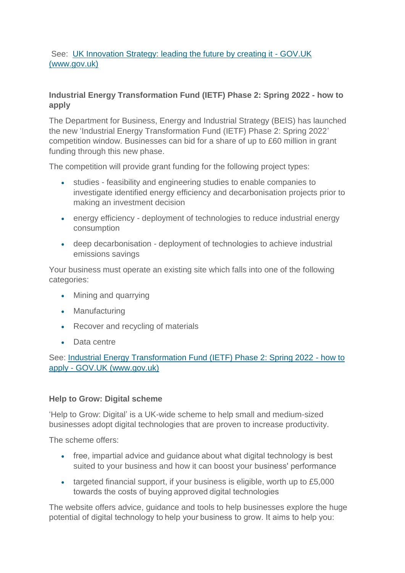## See: [UK Innovation Strategy: leading the future by creating it -](https://www.gov.uk/government/publications/uk-innovation-strategy-leading-the-future-by-creating-it) GOV.UK [\(www.gov.uk\)](https://www.gov.uk/government/publications/uk-innovation-strategy-leading-the-future-by-creating-it)

## **Industrial Energy Transformation Fund (IETF) Phase 2: Spring 2022 - how to apply**

The Department for Business, Energy and Industrial Strategy (BEIS) has launched the new 'Industrial Energy Transformation Fund (IETF) Phase 2: Spring 2022' competition window. Businesses can bid for a share of up to £60 million in grant funding through this new phase.

The competition will provide grant funding for the following project types:

- studies feasibility and engineering studies to enable companies to investigate identified energy efficiency and decarbonisation projects prior to making an investment decision
- energy efficiency deployment of technologies to reduce industrial energy consumption
- deep decarbonisation deployment of technologies to achieve industrial emissions savings

Your business must operate an existing site which falls into one of the following categories:

- Mining and quarrying
- Manufacturing
- Recover and recycling of materials
- Data centre

See: [Industrial Energy Transformation Fund \(IETF\) Phase 2: Spring 2022 -](https://www.gov.uk/government/publications/industrial-energy-transformation-fund-ietf-phase-2-spring-2022) how to apply - [GOV.UK \(www.gov.uk\)](https://www.gov.uk/government/publications/industrial-energy-transformation-fund-ietf-phase-2-spring-2022)

### **Help to Grow: Digital scheme**

'Help to Grow: Digital' is a UK-wide scheme to help small and medium-sized businesses adopt digital technologies that are proven to increase productivity.

The scheme offers:

- free, impartial advice and guidance about what digital technology is best suited to your business and how it can boost your business' performance
- targeted financial support, if your business is eligible, worth up to £5,000 towards the costs of buying approved digital technologies

The website offers advice, guidance and tools to help businesses explore the huge potential of digital technology to help your business to grow. It aims to help you: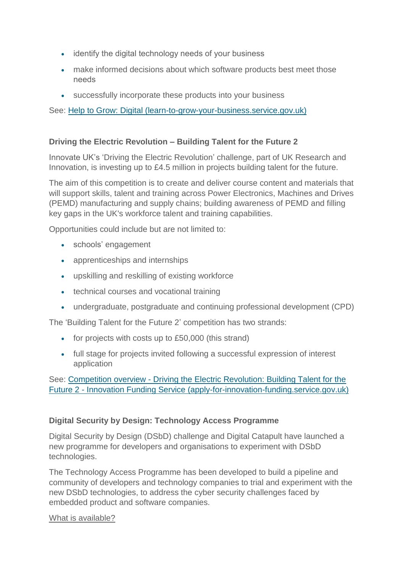- identify the digital technology needs of your business
- make informed decisions about which software products best meet those needs
- successfully incorporate these products into your business

See: [Help to Grow: Digital \(learn-to-grow-your-business.service.gov.uk\)](https://www.learn-to-grow-your-business.service.gov.uk/)

### **Driving the Electric Revolution – Building Talent for the Future 2**

Innovate UK's 'Driving the Electric Revolution' challenge, part of UK Research and Innovation, is investing up to £4.5 million in projects building talent for the future.

The aim of this competition is to create and deliver course content and materials that will support skills, talent and training across Power Electronics, Machines and Drives (PEMD) manufacturing and supply chains; building awareness of PEMD and filling key gaps in the UK's workforce talent and training capabilities.

Opportunities could include but are not limited to:

- schools' engagement
- apprenticeships and internships
- upskilling and reskilling of existing workforce
- technical courses and vocational training
- undergraduate, postgraduate and continuing professional development (CPD)

The 'Building Talent for the Future 2' competition has two strands:

- for projects with costs up to £50,000 (this strand)
- full stage for projects invited following a successful expression of interest application

### See: Competition overview - [Driving the Electric Revolution: Building Talent for the](https://apply-for-innovation-funding.service.gov.uk/competition/1126/overview)  Future 2 - [Innovation Funding Service \(apply-for-innovation-funding.service.gov.uk\)](https://apply-for-innovation-funding.service.gov.uk/competition/1126/overview)

## **Digital Security by Design: Technology Access Programme**

Digital Security by Design (DSbD) challenge and Digital Catapult have launched a new programme for developers and organisations to experiment with DSbD technologies.

The Technology Access Programme has been developed to build a pipeline and community of developers and technology companies to trial and experiment with the new DSbD technologies, to address the cyber security challenges faced by embedded product and software companies.

### What is available?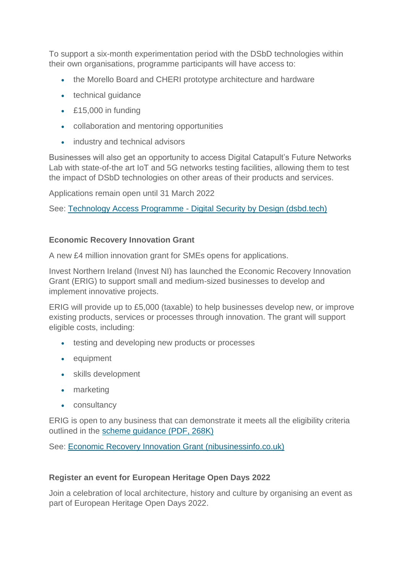To support a six-month experimentation period with the DSbD technologies within their own organisations, programme participants will have access to:

- the Morello Board and CHERI prototype architecture and hardware
- technical guidance
- £15,000 in funding
- collaboration and mentoring opportunities
- industry and technical advisors

Businesses will also get an opportunity to access Digital Catapult's Future Networks Lab with state-of-the art IoT and 5G networks testing facilities, allowing them to test the impact of DSbD technologies on other areas of their products and services.

Applications remain open until 31 March 2022

See: Technology Access Programme - [Digital Security by Design \(dsbd.tech\)](https://www.dsbd.tech/technology-access-programme/)

#### **Economic Recovery Innovation Grant**

A new £4 million innovation grant for SMEs opens for applications.

Invest Northern Ireland (Invest NI) has launched the Economic Recovery Innovation Grant (ERIG) to support small and medium-sized businesses to develop and implement innovative projects.

ERIG will provide up to £5,000 (taxable) to help businesses develop new, or improve existing products, services or processes through innovation. The grant will support eligible costs, including:

- testing and developing new products or processes
- equipment
- skills development
- marketing
- consultancy

ERIG is open to any business that can demonstrate it meets all the eligibility criteria outlined in the [scheme guidance \(PDF, 268K\)](https://www.investni.com/sites/default/files/2021-11/economic-recovery-innovation-grant-guidance-notes_0.pdf)

See: [Economic Recovery Innovation Grant \(nibusinessinfo.co.uk\)](https://www.nibusinessinfo.co.uk/content/economic-recovery-innovation-grant)

### **Register an event for European Heritage Open Days 2022**

Join a celebration of local architecture, history and culture by organising an event as part of European Heritage Open Days 2022.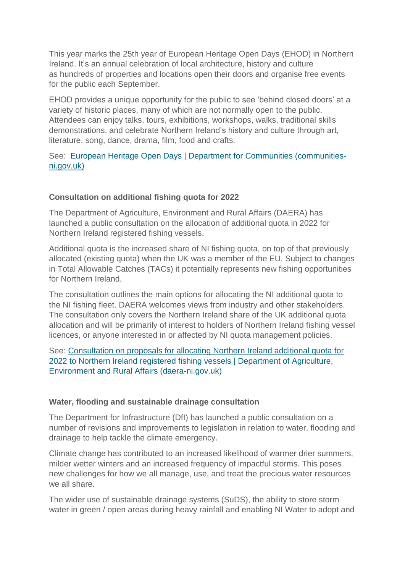This year marks the 25th year of European Heritage Open Days (EHOD) in Northern Ireland. It's an annual celebration of local architecture, history and culture as hundreds of properties and locations open their doors and organise free events for the public each September.

EHOD provides a unique opportunity for the public to see 'behind closed doors' at a variety of historic places, many of which are not normally open to the public. Attendees can enjoy talks, tours, exhibitions, workshops, walks, traditional skills demonstrations, and celebrate Northern Ireland's history and culture through art, literature, song, dance, drama, film, food and crafts.

#### See: [European Heritage Open Days | Department for Communities \(communities](https://www.communities-ni.gov.uk/articles/european-heritage-open-days)[ni.gov.uk\)](https://www.communities-ni.gov.uk/articles/european-heritage-open-days)

#### **Consultation on additional fishing quota for 2022**

The Department of Agriculture, Environment and Rural Affairs (DAERA) has launched a public consultation on the allocation of additional quota in 2022 for Northern Ireland registered fishing vessels.

Additional quota is the increased share of NI fishing quota, on top of that previously allocated (existing quota) when the UK was a member of the EU. Subject to changes in Total Allowable Catches (TACs) it potentially represents new fishing opportunities for Northern Ireland.

The consultation outlines the main options for allocating the NI additional quota to the NI fishing fleet. DAERA welcomes views from industry and other stakeholders. The consultation only covers the Northern Ireland share of the UK additional quota allocation and will be primarily of interest to holders of Northern Ireland fishing vessel licences, or anyone interested in or affected by NI quota management policies.

See: [Consultation on proposals for allocating Northern Ireland additional quota for](https://www.daera-ni.gov.uk/consultations/consultation-proposals-allocating-northern-ireland-additional-quota-2022-northern-ireland-registered)  [2022 to Northern Ireland registered fishing vessels | Department of Agriculture,](https://www.daera-ni.gov.uk/consultations/consultation-proposals-allocating-northern-ireland-additional-quota-2022-northern-ireland-registered)  [Environment and Rural Affairs \(daera-ni.gov.uk\)](https://www.daera-ni.gov.uk/consultations/consultation-proposals-allocating-northern-ireland-additional-quota-2022-northern-ireland-registered)

#### **Water, flooding and sustainable drainage consultation**

The Department for Infrastructure (DfI) has launched a public consultation on a number of revisions and improvements to legislation in relation to water, flooding and drainage to help tackle the climate emergency.

Climate change has contributed to an increased likelihood of warmer drier summers, milder wetter winters and an increased frequency of impactful storms. This poses new challenges for how we all manage, use, and treat the precious water resources we all share.

The wider use of sustainable drainage systems (SuDS), the ability to store storm water in green / open areas during heavy rainfall and enabling NI Water to adopt and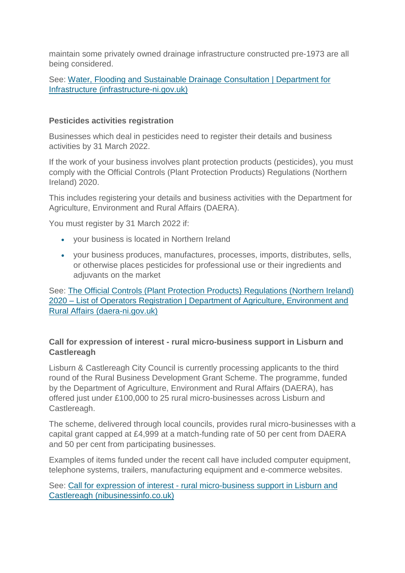maintain some privately owned drainage infrastructure constructed pre-1973 are all being considered.

See: [Water, Flooding and Sustainable Drainage Consultation | Department for](https://www.infrastructure-ni.gov.uk/consultations/water-flooding-and-sustainable-drainage-consultation)  [Infrastructure \(infrastructure-ni.gov.uk\)](https://www.infrastructure-ni.gov.uk/consultations/water-flooding-and-sustainable-drainage-consultation)

### **Pesticides activities registration**

Businesses which deal in pesticides need to register their details and business activities by 31 March 2022.

If the work of your business involves plant protection products (pesticides), you must comply with the Official Controls (Plant Protection Products) Regulations (Northern Ireland) 2020.

This includes registering your details and business activities with the Department for Agriculture, Environment and Rural Affairs (DAERA).

You must register by 31 March 2022 if:

- your business is located in Northern Ireland
- your business produces, manufactures, processes, imports, distributes, sells, or otherwise places pesticides for professional use or their ingredients and adjuvants on the market

See: [The Official Controls \(Plant Protection Products\) Regulations \(Northern Ireland\)](https://www.daera-ni.gov.uk/articles/official-controls-plant-protection-products-regulations-northern-ireland-2020-list-operators)  2020 – [List of Operators Registration | Department of Agriculture, Environment and](https://www.daera-ni.gov.uk/articles/official-controls-plant-protection-products-regulations-northern-ireland-2020-list-operators)  [Rural Affairs \(daera-ni.gov.uk\)](https://www.daera-ni.gov.uk/articles/official-controls-plant-protection-products-regulations-northern-ireland-2020-list-operators)

## **Call for expression of interest - rural micro-business support in Lisburn and Castlereagh**

Lisburn & Castlereagh City Council is currently processing applicants to the third round of the Rural Business Development Grant Scheme. The programme, funded by the Department of Agriculture, Environment and Rural Affairs (DAERA), has offered just under £100,000 to 25 rural micro-businesses across Lisburn and Castlereagh.

The scheme, delivered through local councils, provides rural micro-businesses with a capital grant capped at £4,999 at a match-funding rate of 50 per cent from DAERA and 50 per cent from participating businesses.

Examples of items funded under the recent call have included computer equipment, telephone systems, trailers, manufacturing equipment and e-commerce websites.

See: Call for expression of interest - [rural micro-business support in Lisburn and](https://www.nibusinessinfo.co.uk/content/call-expression-interest-rural-micro-business-support-lisburn-and-castlereagh)  [Castlereagh \(nibusinessinfo.co.uk\)](https://www.nibusinessinfo.co.uk/content/call-expression-interest-rural-micro-business-support-lisburn-and-castlereagh)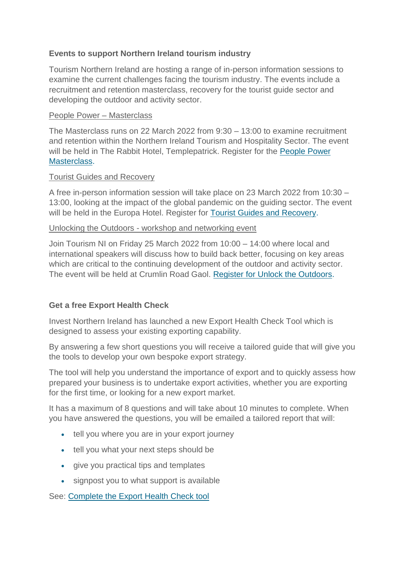### **Events to support Northern Ireland tourism industry**

Tourism Northern Ireland are hosting a range of in-person information sessions to examine the current challenges facing the tourism industry. The events include a recruitment and retention masterclass, recovery for the tourist guide sector and developing the outdoor and activity sector.

#### People Power – Masterclass

The Masterclass runs on 22 March 2022 from 9:30 – 13:00 to examine recruitment and retention within the Northern Ireland Tourism and Hospitality Sector. The event will be held in The Rabbit Hotel, Templepatrick. Register for the [People Power](https://www.events.nibusinessinfo.co.uk/en/events/people-power-masterclass/)  [Masterclass.](https://www.events.nibusinessinfo.co.uk/en/events/people-power-masterclass/)

#### Tourist Guides and Recovery

A free in-person information session will take place on 23 March 2022 from 10:30 – 13:00, looking at the impact of the global pandemic on the guiding sector. The event will be held in the Europa Hotel. Register for [Tourist Guides and Recovery.](https://www.events.nibusinessinfo.co.uk/en/events/tourist-guides-and-recovery/)

#### Unlocking the Outdoors - workshop and networking event

Join Tourism NI on Friday 25 March 2022 from 10:00 – 14:00 where local and international speakers will discuss how to build back better, focusing on key areas which are critical to the continuing development of the outdoor and activity sector. The event will be held at Crumlin Road Gaol. [Register for Unlock the Outdoors.](https://www.events.nibusinessinfo.co.uk/en/events/unlocking-the-outdoors-workshop-and-networking-event/)

#### **Get a free Export Health Check**

Invest Northern Ireland has launched a new Export Health Check Tool which is designed to assess your existing exporting capability.

By answering a few short questions you will receive a tailored quide that will give you the tools to develop your own bespoke export strategy.

The tool will help you understand the importance of export and to quickly assess how prepared your business is to undertake export activities, whether you are exporting for the first time, or looking for a new export market.

It has a maximum of 8 questions and will take about 10 minutes to complete. When you have answered the questions, you will be emailed a tailored report that will:

- tell you where you are in your export journey
- tell you what your next steps should be
- give you practical tips and templates
- signpost you to what support is available

See: [Complete the Export Health Check tool](https://www.investni.com/support-for-business/go-further-grow-stronger)